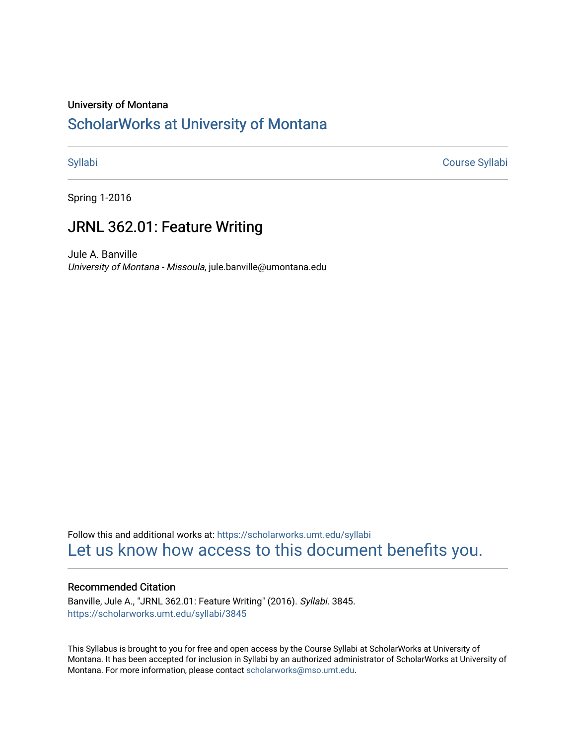#### University of Montana

#### [ScholarWorks at University of Montana](https://scholarworks.umt.edu/)

[Syllabi](https://scholarworks.umt.edu/syllabi) [Course Syllabi](https://scholarworks.umt.edu/course_syllabi) 

Spring 1-2016

#### JRNL 362.01: Feature Writing

Jule A. Banville University of Montana - Missoula, jule.banville@umontana.edu

Follow this and additional works at: [https://scholarworks.umt.edu/syllabi](https://scholarworks.umt.edu/syllabi?utm_source=scholarworks.umt.edu%2Fsyllabi%2F3845&utm_medium=PDF&utm_campaign=PDFCoverPages)  [Let us know how access to this document benefits you.](https://goo.gl/forms/s2rGfXOLzz71qgsB2) 

#### Recommended Citation

Banville, Jule A., "JRNL 362.01: Feature Writing" (2016). Syllabi. 3845. [https://scholarworks.umt.edu/syllabi/3845](https://scholarworks.umt.edu/syllabi/3845?utm_source=scholarworks.umt.edu%2Fsyllabi%2F3845&utm_medium=PDF&utm_campaign=PDFCoverPages)

This Syllabus is brought to you for free and open access by the Course Syllabi at ScholarWorks at University of Montana. It has been accepted for inclusion in Syllabi by an authorized administrator of ScholarWorks at University of Montana. For more information, please contact [scholarworks@mso.umt.edu.](mailto:scholarworks@mso.umt.edu)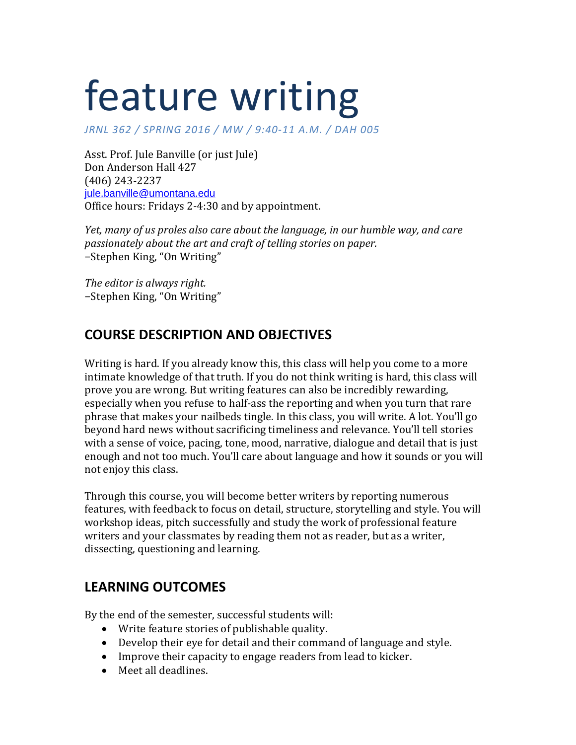# feature writing

*J / RNL 362 SPRING 2016 / MW / 9:40 -11 A .M . / DAH 005*

Asst. Prof. Jule Banville (or just Jule) Don Anderson Hall 427 (406) 243-2237 [jule.banville@umontana.edu](mailto:jule.banville@umontana.edu) Office hours: Fridays 2-4:30 and by appointment.

*Yet, many of us proles also care about the language, in our humble way, and care passionately about the art and craft of telling stories on paper.* −Stephen King, "On Writing"

*The editor is always right.* −Stephen King, "On Writing"

# **COURSE DESCRIPTION AND OBJECTIVES**

Writing is hard. If you already know this, this class will help you come to a more intimate knowledge of that truth. If you do not think writing is hard, this class will prove you are wrong. But writing features can also be incredibly rewarding, especially when you refuse to half-ass the reporting and when you turn that rare phrase that makes your nailbeds tingle. In this class, you will write. A lot. You'll go beyond hard news without sacrificing timeliness and relevance. You'll tell stories with a sense of voice, pacing, tone, mood, narrative, dialogue and detail that is just enough and not too much. You'll care about language and how it sounds or you will not enjoy this class.

Through this course, you will become better writers by reporting numerous features, with feedback to focus on detail, structure, storytelling and style. You will workshop ideas, pitch successfully and study the work of professional feature writers and your classmates by reading them not as reader, but as a writer, dissecting, questioning and learning.

### **LEARNING OUTCOMES**

By the end of the semester, successful students will:

- Write feature stories of publishable quality.
- Develop their eye for detail and their command of language and style.
- Improve their capacity to engage readers from lead to kicker.
- Meet all deadlines.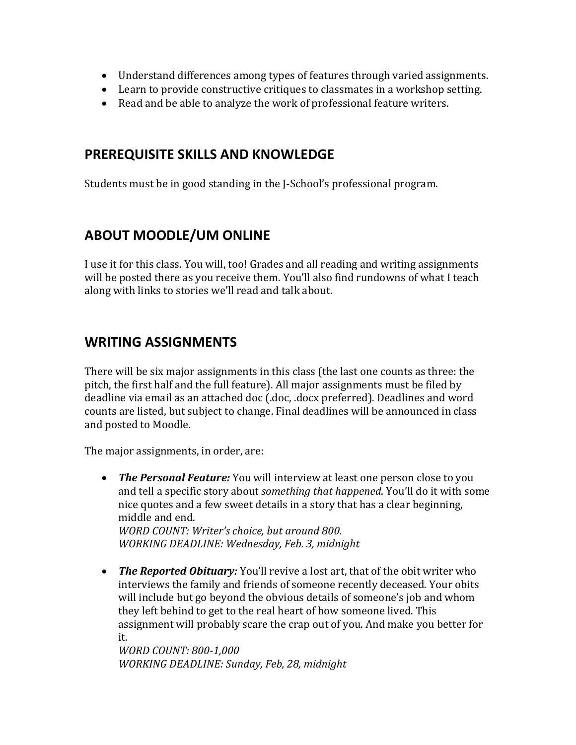- Understand differences among types of features through varied assignments.
- Learn to provide constructive critiques to classmates in a workshop setting.
- Read and be able to analyze the work of professional feature writers.

#### **PREREQUISITE SKILLS AND KNOWLEDGE**

Students must be in good standing in the J-School's professional program.

### **ABOUT MOODLE/UM ONLINE**

I use it for this class. You will, too! Grades and all reading and writing assignments will be posted there as you receive them. You'll also find rundowns of what I teach along with links to stories we'll read and talk about.

### **WRITING ASSIGNMENTS**

There will be six major assignments in this class (the last one counts as three: the pitch, the first half and the full feature). All major assignments must be filed by deadline via email as an attached doc (.doc, .docx preferred). Deadlines and word counts are listed, but subject to change. Final deadlines will be announced in class and posted to Moodle.

The major assignments, in order, are:

• *The Personal Feature:* You will interview at least one person close to you and tell a specific story about *something that happened*. You'll do it with some nice quotes and a few sweet details in a story that has a clear beginning, middle and end. *WORD COUNT: Writer's choice, but around 800.*

*WORKING DEADLINE: Wednesday, Feb. 3, midnight*

• *The Reported Obituary:* You'll revive a lost art, that of the obit writer who interviews the family and friends of someone recently deceased. Your obits will include but go beyond the obvious details of someone's job and whom they left behind to get to the real heart of how someone lived. This assignment will probably scare the crap out of you. And make you better for it.

*WORD COUNT: 800-1,000 WORKING DEADLINE: Sunday, Feb, 28, midnight*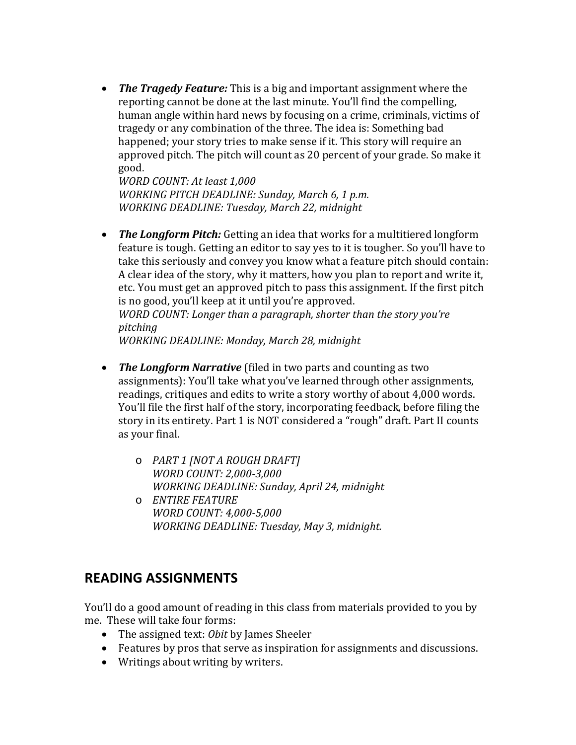• *The Tragedy Feature:* This is a big and important assignment where the reporting cannot be done at the last minute. You'll find the compelling, human angle within hard news by focusing on a crime, criminals, victims of tragedy or any combination of the three. The idea is: Something bad happened; your story tries to make sense if it. This story will require an approved pitch. The pitch will count as 20 percent of your grade. So make it good.

*WORD COUNT: At least 1,000 WORKING PITCH DEADLINE: Sunday, March 6, 1 p.m. WORKING DEADLINE: Tuesday, March 22, midnight*

• *The Longform Pitch:* Getting an idea that works for a multitiered longform feature is tough. Getting an editor to say yes to it is tougher. So you'll have to take this seriously and convey you know what a feature pitch should contain: A clear idea of the story, why it matters, how you plan to report and write it, etc. You must get an approved pitch to pass this assignment. If the first pitch is no good, you'll keep at it until you're approved.

*WORD COUNT: Longer than a paragraph, shorter than the story you're pitching*

*WORKING DEADLINE: Monday, March 28, midnight*

- *The Longform Narrative* (filed in two parts and counting as two assignments): You'll take what you've learned through other assignments, readings, critiques and edits to write a story worthy of about 4,000 words. You'll file the first half of the story, incorporating feedback, before filing the story in its entirety. Part 1 is NOT considered a "rough" draft. Part II counts as your final.
	- o *PART 1 [NOT A ROUGH DRAFT] WORD COUNT: 2,000-3,000 WORKING DEADLINE: Sunday, April 24, midnight*
	- o *ENTIRE FEATURE WORD COUNT: 4,000-5,000 WORKING DEADLINE: Tuesday, May 3, midnight.*

### **READING ASSIGNMENTS**

You'll do a good amount of reading in this class from materials provided to you by me. These will take four forms:

- The assigned text: *Obit* by James Sheeler
- Features by pros that serve as inspiration for assignments and discussions.
- Writings about writing by writers.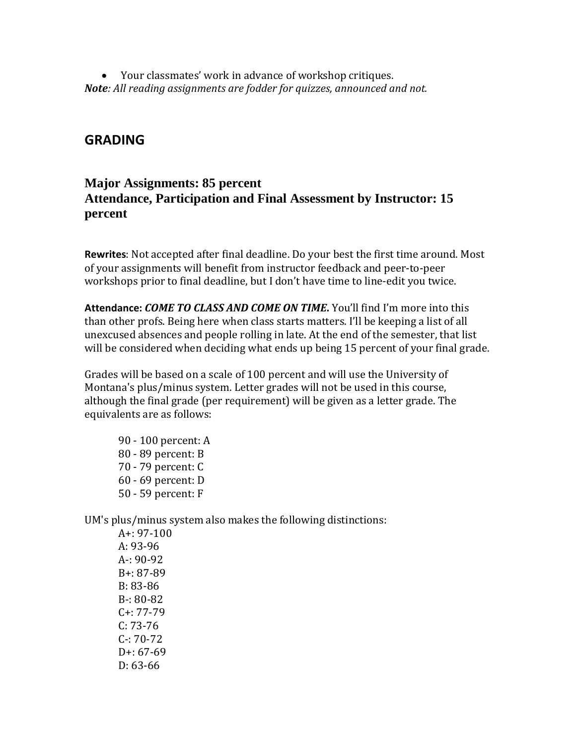• Your classmates' work in advance of workshop critiques. *Note: All reading assignments are fodder for quizzes, announced and not.*

#### **GRADING**

#### **Major Assignments: 85 percent Attendance, Participation and Final Assessment by Instructor: 15 percent**

**Rewrites**: Not accepted after final deadline. Do your best the first time around. Most of your assignments will benefit from instructor feedback and peer-to-peer workshops prior to final deadline, but I don't have time to line-edit you twice.

**Attendance:** *COME TO CLASS AND COME ON TIME***.** You'll find I'm more into this than other profs. Being here when class starts matters. I'll be keeping a list of all unexcused absences and people rolling in late. At the end of the semester, that list will be considered when deciding what ends up being 15 percent of your final grade.

Grades will be based on a scale of 100 percent and will use the University of Montana's plus/minus system. Letter grades will not be used in this course, although the final grade (per requirement) will be given as a letter grade. The equivalents are as follows:

90 - 100 percent: A 80 - 89 percent: B 70 - 79 percent: C 60 - 69 percent: D 50 - 59 percent: F

UM's plus/minus system also makes the following distinctions:

A+: 97-100 A: 93-96 A-: 90-92 B+: 87-89 B: 83-86 B-: 80-82 C+: 77-79 C: 73-76 C-: 70-72 D+: 67-69 D: 63-66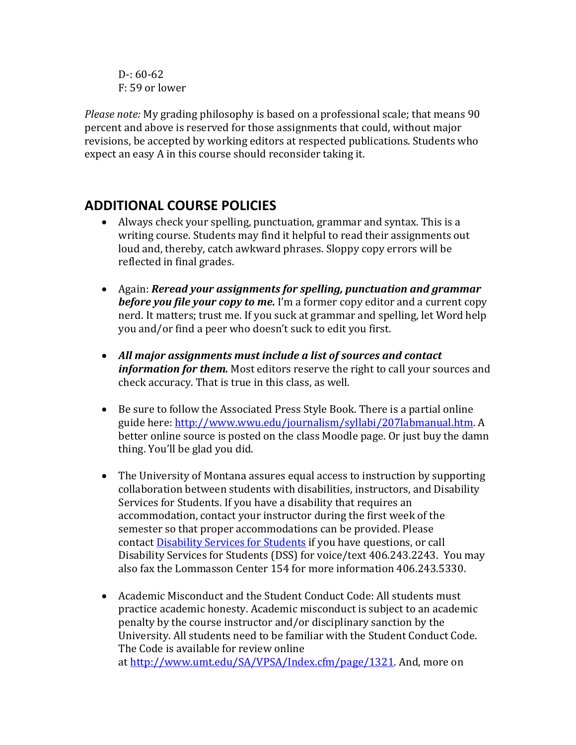$D - 60 - 62$ F: 59 or lower

*Please note:* My grading philosophy is based on a professional scale; that means 90 percent and above is reserved for those assignments that could, without major revisions, be accepted by working editors at respected publications. Students who expect an easy A in this course should reconsider taking it.

# **ADDITIONAL COURSE POLICIES**

- Always check your spelling, punctuation, grammar and syntax. This is a writing course. Students may find it helpful to read their assignments out loud and, thereby, catch awkward phrases. Sloppy copy errors will be reflected in final grades.
- Again: *Reread your assignments for spelling, punctuation and grammar before you file your copy to me.* I'm a former copy editor and a current copy nerd. It matters; trust me. If you suck at grammar and spelling, let Word help you and/or find a peer who doesn't suck to edit you first.
- *All major assignments must include a list of sources and contact information for them.* Most editors reserve the right to call your sources and check accuracy. That is true in this class, as well.
- Be sure to follow the Associated Press Style Book. There is a partial online guide here: http://www.wwu.edu/journalism/syllabi/207labmanual.htm. A better online source is posted on the class Moodle page. Or just buy the damn thing. You'll be glad you did.
- The University of Montana assures equal access to instruction by supporting collaboration between students with disabilities, instructors, and Disability Services for Students. If you have a disability that requires an accommodation, contact your instructor during the first week of the semester so that proper accommodations can be provided. Please contact **[Disability Services for Students](http://life.umt.edu/dss/)** if you have questions, or call Disability Services for Students (DSS) for voice/text 406.243.2243. You may also fax the Lommasson Center 154 for more information 406.243.5330.
- Academic Misconduct and the Student Conduct Code: All students must practice academic honesty. Academic misconduct is subject to an academic penalty by the course instructor and/or disciplinary sanction by the University. All students need to be familiar with the Student Conduct Code. The Code is available for review online at [http://www.umt.edu/SA/VPSA/Index.cfm/page/1321.](http://www.umt.edu/SA/VPSA/Index.cfm/page/1321) And, more on